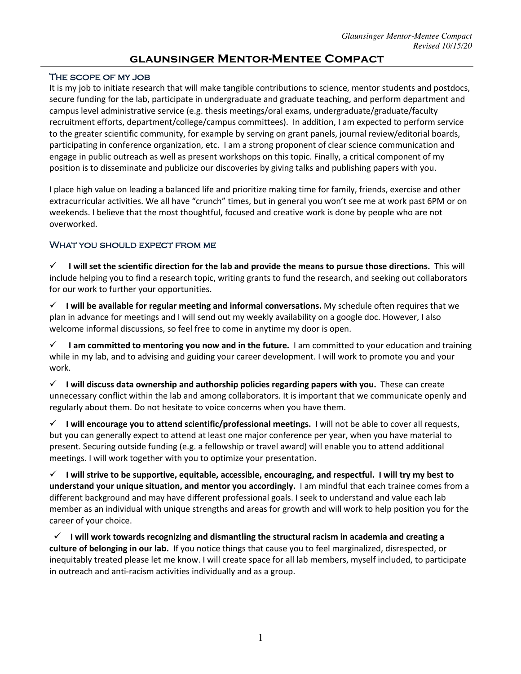# **glaunsinger Mentor-Mentee Compact**

#### The scope of my job

It is my job to initiate research that will make tangible contributions to science, mentor students and postdocs, secure funding for the lab, participate in undergraduate and graduate teaching, and perform department and campus level administrative service (e.g. thesis meetings/oral exams, undergraduate/graduate/faculty recruitment efforts, department/college/campus committees). In addition, I am expected to perform service to the greater scientific community, for example by serving on grant panels, journal review/editorial boards, participating in conference organization, etc. I am a strong proponent of clear science communication and engage in public outreach as well as present workshops on this topic. Finally, a critical component of my position is to disseminate and publicize our discoveries by giving talks and publishing papers with you.

I place high value on leading a balanced life and prioritize making time for family, friends, exercise and other extracurricular activities. We all have "crunch" times, but in general you won't see me at work past 6PM or on weekends. I believe that the most thoughtful, focused and creative work is done by people who are not overworked.

#### WHAT YOU SHOULD EXPECT FROM ME

ü **I will set the scientific direction for the lab and provide the means to pursue those directions.** This will include helping you to find a research topic, writing grants to fund the research, and seeking out collaborators for our work to further your opportunities.

ü **I will be available for regular meeting and informal conversations.** My schedule often requires that we plan in advance for meetings and I will send out my weekly availability on a google doc. However, I also welcome informal discussions, so feel free to come in anytime my door is open.

ü **I am committed to mentoring you now and in the future.** I am committed to your education and training while in my lab, and to advising and guiding your career development. I will work to promote you and your work.

ü **I will discuss data ownership and authorship policies regarding papers with you.** These can create unnecessary conflict within the lab and among collaborators. It is important that we communicate openly and regularly about them. Do not hesitate to voice concerns when you have them.

ü **I will encourage you to attend scientific/professional meetings.** I will not be able to cover all requests, but you can generally expect to attend at least one major conference per year, when you have material to present. Securing outside funding (e.g. a fellowship or travel award) will enable you to attend additional meetings. I will work together with you to optimize your presentation.

 $\checkmark$  I will strive to be supportive, equitable, accessible, encouraging, and respectful. I will try my best to **understand your unique situation, and mentor you accordingly.** I am mindful that each trainee comes from a different background and may have different professional goals. I seek to understand and value each lab member as an individual with unique strengths and areas for growth and will work to help position you for the career of your choice.

 ü **I will work towards recognizing and dismantling the structural racism in academia and creating a culture of belonging in our lab.** If you notice things that cause you to feel marginalized, disrespected, or inequitably treated please let me know. I will create space for all lab members, myself included, to participate in outreach and anti-racism activities individually and as a group.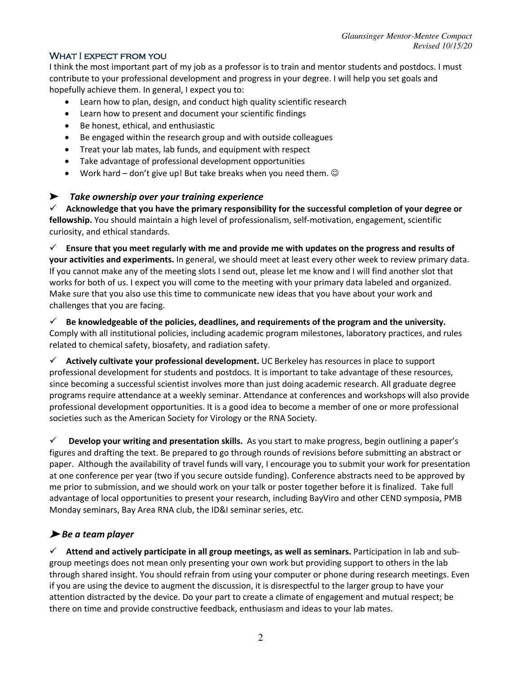## WHAT I EXPECT FROM YOU

I think the most important part of my job as a professor is to train and mentor students and postdocs. I must contribute to your professional development and progress in your degree. I will help you set goals and hopefully achieve them. In general, I expect you to:

- Learn how to plan, design, and conduct high quality scientific research
- Learn how to present and document your scientific findings
- Be honest, ethical, and enthusiastic
- Be engaged within the research group and with outside colleagues
- Treat your lab mates, lab funds, and equipment with respect
- Take advantage of professional development opportunities
- Work hard don't give up! But take breaks when you need them.  $\odot$

## ➤ *Take ownership over your training experience*

 $\checkmark$  Acknowledge that you have the primary responsibility for the successful completion of your degree or **fellowship.** You should maintain a high level of professionalism, self-motivation, engagement, scientific curiosity, and ethical standards.

 $\checkmark$  Ensure that you meet regularly with me and provide me with updates on the progress and results of **your activities and experiments.** In general, we should meet at least every other week to review primary data. If you cannot make any of the meeting slots I send out, please let me know and I will find another slot that works for both of us. I expect you will come to the meeting with your primary data labeled and organized. Make sure that you also use this time to communicate new ideas that you have about your work and challenges that you are facing.

#### $\checkmark$  Be knowledgeable of the policies, deadlines, and requirements of the program and the university. Comply with all institutional policies, including academic program milestones, laboratory practices, and rules related to chemical safety, biosafety, and radiation safety.

ü **Actively cultivate your professional development.** UC Berkeley has resources in place to support professional development for students and postdocs. It is important to take advantage of these resources, since becoming a successful scientist involves more than just doing academic research. All graduate degree programs require attendance at a weekly seminar. Attendance at conferences and workshops will also provide professional development opportunities. It is a good idea to become a member of one or more professional societies such as the American Society for Virology or the RNA Society.

ü **Develop your writing and presentation skills.** As you start to make progress, begin outlining a paper's figures and drafting the text. Be prepared to go through rounds of revisions before submitting an abstract or paper. Although the availability of travel funds will vary, I encourage you to submit your work for presentation at one conference per year (two if you secure outside funding). Conference abstracts need to be approved by me prior to submission, and we should work on your talk or poster together before it is finalized. Take full advantage of local opportunities to present your research, including BayViro and other CEND symposia, PMB Monday seminars, Bay Area RNA club, the ID&I seminar series, etc.

## ➤ *Be a team player*

ü **Attend and actively participate in all group meetings, as well as seminars.** Participation in lab and subgroup meetings does not mean only presenting your own work but providing support to others in the lab through shared insight. You should refrain from using your computer or phone during research meetings. Even if you are using the device to augment the discussion, it is disrespectful to the larger group to have your attention distracted by the device. Do your part to create a climate of engagement and mutual respect; be there on time and provide constructive feedback, enthusiasm and ideas to your lab mates.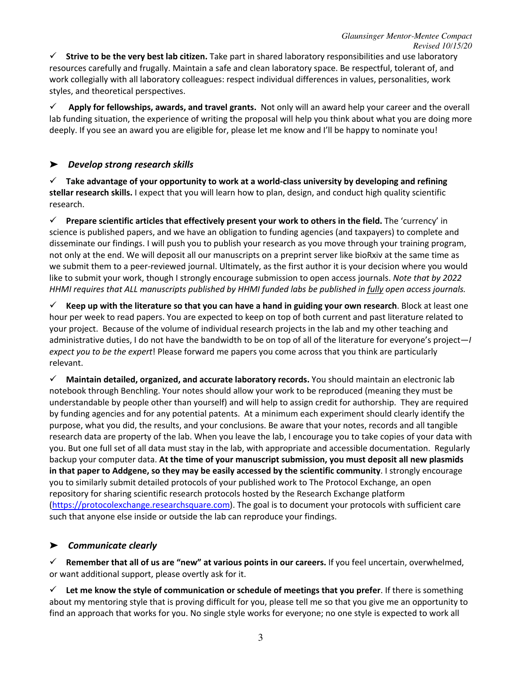ü **Strive to be the very best lab citizen.** Take part in shared laboratory responsibilities and use laboratory resources carefully and frugally. Maintain a safe and clean laboratory space. Be respectful, tolerant of, and work collegially with all laboratory colleagues: respect individual differences in values, personalities, work styles, and theoretical perspectives.

ü **Apply for fellowships, awards, and travel grants.** Not only will an award help your career and the overall lab funding situation, the experience of writing the proposal will help you think about what you are doing more deeply. If you see an award you are eligible for, please let me know and I'll be happy to nominate you!

## ➤ *Develop strong research skills*

 $\checkmark$  Take advantage of your opportunity to work at a world-class university by developing and refining **stellar research skills.** I expect that you will learn how to plan, design, and conduct high quality scientific research.

ü **Prepare scientific articles that effectively present your work to others in the field.** The 'currency' in science is published papers, and we have an obligation to funding agencies (and taxpayers) to complete and disseminate our findings. I will push you to publish your research as you move through your training program, not only at the end. We will deposit all our manuscripts on a preprint server like bioRxiv at the same time as we submit them to a peer-reviewed journal. Ultimately, as the first author it is your decision where you would like to submit your work, though I strongly encourage submission to open access journals. *Note that by 2022 HHMI requires that ALL manuscripts published by HHMI funded labs be published in fully open access journals.*

 $\checkmark$  Keep up with the literature so that you can have a hand in guiding your own research. Block at least one hour per week to read papers. You are expected to keep on top of both current and past literature related to your project. Because of the volume of individual research projects in the lab and my other teaching and administrative duties, I do not have the bandwidth to be on top of all of the literature for everyone's project—*I expect you to be the expert*! Please forward me papers you come across that you think are particularly relevant.

ü **Maintain detailed, organized, and accurate laboratory records.** You should maintain an electronic lab notebook through Benchling. Your notes should allow your work to be reproduced (meaning they must be understandable by people other than yourself) and will help to assign credit for authorship. They are required by funding agencies and for any potential patents. At a minimum each experiment should clearly identify the purpose, what you did, the results, and your conclusions. Be aware that your notes, records and all tangible research data are property of the lab. When you leave the lab, I encourage you to take copies of your data with you. But one full set of all data must stay in the lab, with appropriate and accessible documentation. Regularly backup your computer data. **At the time of your manuscript submission, you must deposit all new plasmids in that paper to Addgene, so they may be easily accessed by the scientific community**. I strongly encourage you to similarly submit detailed protocols of your published work to The Protocol Exchange, an open repository for sharing scientific research protocols hosted by the Research Exchange platform (https://protocolexchange.researchsquare.com). The goal is to document your protocols with sufficient care such that anyone else inside or outside the lab can reproduce your findings.

## ➤ *Communicate clearly*

 $\checkmark$  Remember that all of us are "new" at various points in our careers. If you feel uncertain, overwhelmed, or want additional support, please overtly ask for it.

 $\checkmark$  Let me know the style of communication or schedule of meetings that you prefer. If there is something about my mentoring style that is proving difficult for you, please tell me so that you give me an opportunity to find an approach that works for you. No single style works for everyone; no one style is expected to work all